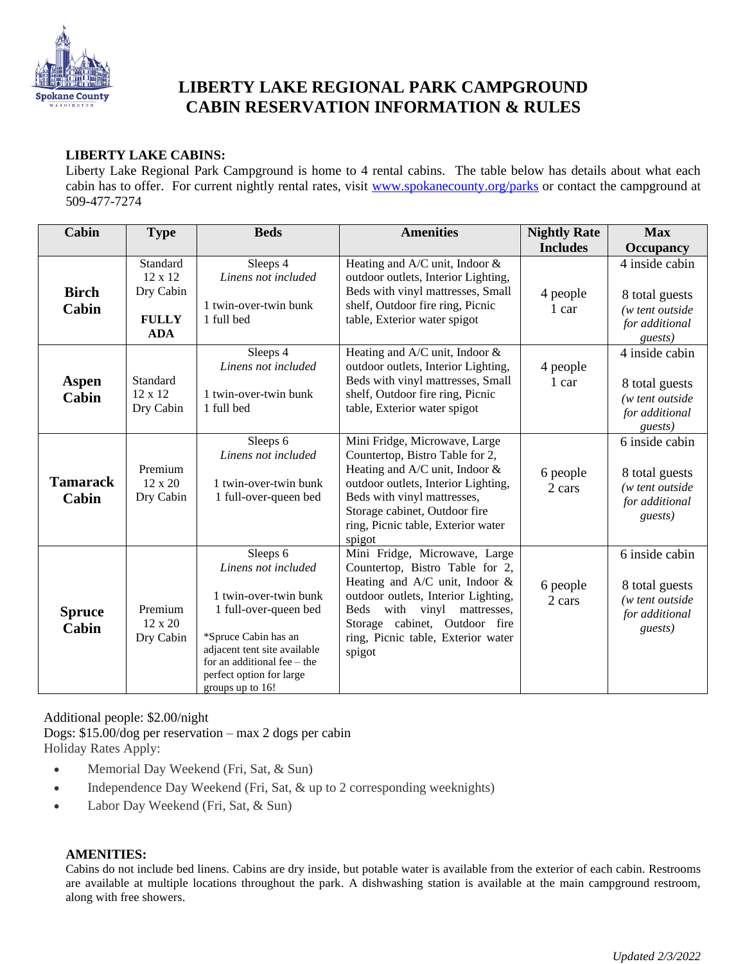

# **LIBERTY LAKE REGIONAL PARK CAMPGROUND CABIN RESERVATION INFORMATION & RULES**

## **LIBERTY LAKE CABINS:**

Liberty Lake Regional Park Campground is home to 4 rental cabins. The table below has details about what each cabin has to offer. For current nightly rental rates, visit [www.spokanecounty.org/parks](http://www.spokanecounty.org/parks) or contact the campground at 509-477-7274

| Cabin                    | <b>Type</b>                                                    | <b>Beds</b>                                                                                                                                                                                                                | <b>Amenities</b>                                                                                                                                                                                                                                                       | <b>Nightly Rate</b> | <b>Max</b>                                                                               |
|--------------------------|----------------------------------------------------------------|----------------------------------------------------------------------------------------------------------------------------------------------------------------------------------------------------------------------------|------------------------------------------------------------------------------------------------------------------------------------------------------------------------------------------------------------------------------------------------------------------------|---------------------|------------------------------------------------------------------------------------------|
|                          |                                                                |                                                                                                                                                                                                                            |                                                                                                                                                                                                                                                                        | <b>Includes</b>     | <b>Occupancy</b>                                                                         |
| <b>Birch</b><br>Cabin    | Standard<br>12 x 12<br>Dry Cabin<br><b>FULLY</b><br><b>ADA</b> | Sleeps 4<br>Linens not included<br>1 twin-over-twin bunk<br>1 full bed                                                                                                                                                     | Heating and $A/C$ unit, Indoor $\&$<br>outdoor outlets, Interior Lighting,<br>Beds with vinyl mattresses, Small<br>shelf, Outdoor fire ring, Picnic<br>table, Exterior water spigot                                                                                    | 4 people<br>1 car   | 4 inside cabin<br>8 total guests<br>(w tent outside)<br>for additional<br>guests)        |
| Aspen<br>Cabin           | Standard<br>12 x 12<br>Dry Cabin                               | Sleeps 4<br>Linens not included<br>1 twin-over-twin bunk<br>1 full bed                                                                                                                                                     | Heating and A/C unit, Indoor &<br>outdoor outlets, Interior Lighting,<br>Beds with vinyl mattresses, Small<br>shelf, Outdoor fire ring, Picnic<br>table, Exterior water spigot                                                                                         | 4 people<br>1 car   | 4 inside cabin<br>8 total guests<br>(w tent outside)<br>for additional<br>guests)        |
| <b>Tamarack</b><br>Cabin | Premium<br>12 x 20<br>Dry Cabin                                | Sleeps 6<br>Linens not included<br>1 twin-over-twin bunk<br>1 full-over-queen bed                                                                                                                                          | Mini Fridge, Microwave, Large<br>Countertop, Bistro Table for 2,<br>Heating and $A/C$ unit, Indoor $\&$<br>outdoor outlets, Interior Lighting,<br>Beds with vinyl mattresses,<br>Storage cabinet, Outdoor fire<br>ring, Picnic table, Exterior water<br>spigot         | 6 people<br>2 cars  | 6 inside cabin<br>8 total guests<br>( <i>w</i> tent outside<br>for additional<br>guests) |
| <b>Spruce</b><br>Cabin   | Premium<br>12 x 20<br>Dry Cabin                                | Sleeps 6<br>Linens not included<br>1 twin-over-twin bunk<br>1 full-over-queen bed<br>*Spruce Cabin has an<br>adjacent tent site available<br>for an additional fee $-$ the<br>perfect option for large<br>groups up to 16! | Mini Fridge, Microwave, Large<br>Countertop, Bistro Table for 2,<br>Heating and A/C unit, Indoor &<br>outdoor outlets, Interior Lighting,<br><b>Beds</b><br>with vinyl<br>mattresses,<br>Storage cabinet, Outdoor fire<br>ring, Picnic table, Exterior water<br>spigot | 6 people<br>2 cars  | 6 inside cabin<br>8 total guests<br>(w tent outside)<br>for additional<br>guests)        |

Additional people: \$2.00/night

Dogs: \$15.00/dog per reservation – max 2 dogs per cabin Holiday Rates Apply:

- Memorial Day Weekend (Fri, Sat, & Sun)
- Independence Day Weekend (Fri, Sat, & up to 2 corresponding weeknights)
- Labor Day Weekend (Fri, Sat, & Sun)

## **AMENITIES:**

Cabins do not include bed linens. Cabins are dry inside, but potable water is available from the exterior of each cabin. Restrooms are available at multiple locations throughout the park. A dishwashing station is available at the main campground restroom, along with free showers.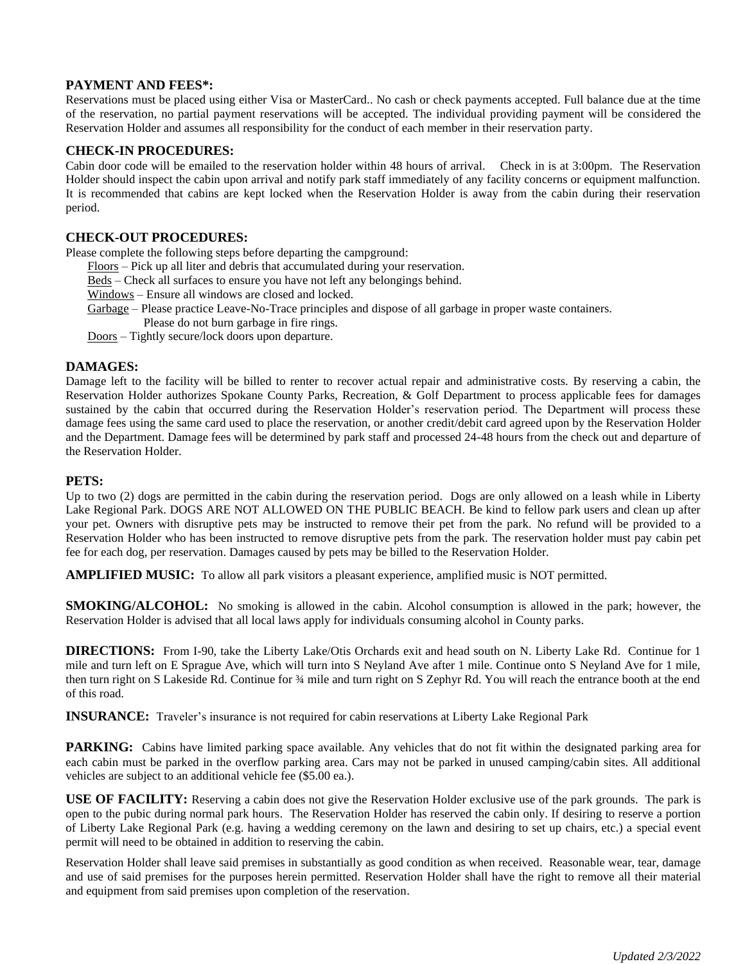## **PAYMENT AND FEES\*:**

Reservations must be placed using either Visa or MasterCard.. No cash or check payments accepted. Full balance due at the time of the reservation, no partial payment reservations will be accepted. The individual providing payment will be considered the Reservation Holder and assumes all responsibility for the conduct of each member in their reservation party.

## **CHECK-IN PROCEDURES:**

Cabin door code will be emailed to the reservation holder within 48 hours of arrival. Check in is at 3:00pm. The Reservation Holder should inspect the cabin upon arrival and notify park staff immediately of any facility concerns or equipment malfunction. It is recommended that cabins are kept locked when the Reservation Holder is away from the cabin during their reservation period.

## **CHECK-OUT PROCEDURES:**

Please complete the following steps before departing the campground:

- Floors Pick up all liter and debris that accumulated during your reservation.
- Beds Check all surfaces to ensure you have not left any belongings behind.

Windows – Ensure all windows are closed and locked.

- Garbage Please practice Leave-No-Trace principles and dispose of all garbage in proper waste containers.
	- Please do not burn garbage in fire rings.
- Doors Tightly secure/lock doors upon departure.

#### **DAMAGES:**

Damage left to the facility will be billed to renter to recover actual repair and administrative costs. By reserving a cabin, the Reservation Holder authorizes Spokane County Parks, Recreation, & Golf Department to process applicable fees for damages sustained by the cabin that occurred during the Reservation Holder's reservation period. The Department will process these damage fees using the same card used to place the reservation, or another credit/debit card agreed upon by the Reservation Holder and the Department. Damage fees will be determined by park staff and processed 24-48 hours from the check out and departure of the Reservation Holder.

#### **PETS:**

Up to two (2) dogs are permitted in the cabin during the reservation period. Dogs are only allowed on a leash while in Liberty Lake Regional Park. DOGS ARE NOT ALLOWED ON THE PUBLIC BEACH. Be kind to fellow park users and clean up after your pet. Owners with disruptive pets may be instructed to remove their pet from the park. No refund will be provided to a Reservation Holder who has been instructed to remove disruptive pets from the park. The reservation holder must pay cabin pet fee for each dog, per reservation. Damages caused by pets may be billed to the Reservation Holder.

**AMPLIFIED MUSIC:** To allow all park visitors a pleasant experience, amplified music is NOT permitted.

**SMOKING/ALCOHOL:** No smoking is allowed in the cabin. Alcohol consumption is allowed in the park; however, the Reservation Holder is advised that all local laws apply for individuals consuming alcohol in County parks.

**DIRECTIONS:** From I-90, take the Liberty Lake/Otis Orchards exit and head south on N. Liberty Lake Rd. Continue for 1 mile and turn left on E Sprague Ave, which will turn into S Neyland Ave after 1 mile. Continue onto S Neyland Ave for 1 mile, then turn right on S Lakeside Rd. Continue for ¾ mile and turn right on S Zephyr Rd. You will reach the entrance booth at the end of this road.

**INSURANCE:** Traveler's insurance is not required for cabin reservations at Liberty Lake Regional Park

**PARKING:** Cabins have limited parking space available. Any vehicles that do not fit within the designated parking area for each cabin must be parked in the overflow parking area. Cars may not be parked in unused camping/cabin sites. All additional vehicles are subject to an additional vehicle fee (\$5.00 ea.).

**USE OF FACILITY:** Reserving a cabin does not give the Reservation Holder exclusive use of the park grounds. The park is open to the pubic during normal park hours. The Reservation Holder has reserved the cabin only. If desiring to reserve a portion of Liberty Lake Regional Park (e.g. having a wedding ceremony on the lawn and desiring to set up chairs, etc.) a special event permit will need to be obtained in addition to reserving the cabin.

Reservation Holder shall leave said premises in substantially as good condition as when received. Reasonable wear, tear, damage and use of said premises for the purposes herein permitted. Reservation Holder shall have the right to remove all their material and equipment from said premises upon completion of the reservation.